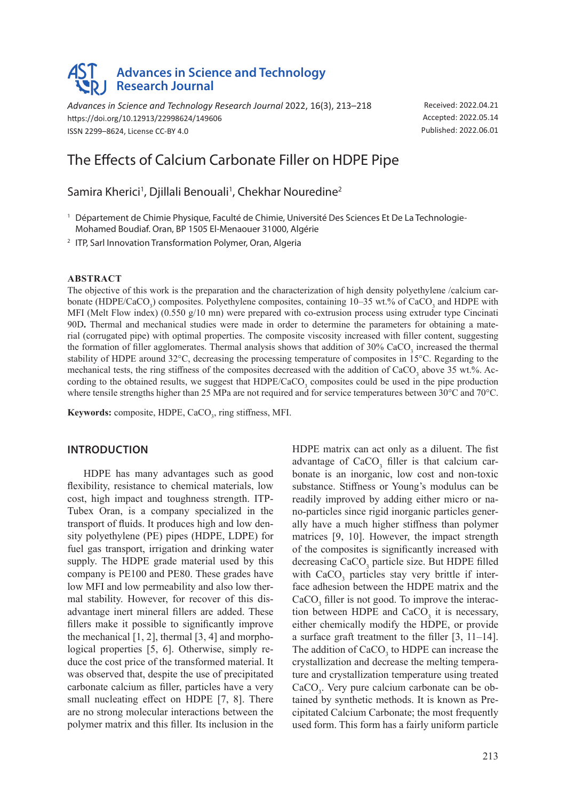# **Advances in Science and Technology Research Journal**

*Advances in Science and Technology Research Journal* 2022, 16(3), 213–218 https://doi.org/10.12913/22998624/149606 ISSN 2299–8624, License CC-BY 4.0

Received: 2022.04.21 Accepted: 2022.05.14 Published: 2022.06.01

# The Effects of Calcium Carbonate Filler on HDPE Pipe

Samira Kherici<sup>1</sup>, Djillali Benouali<sup>1</sup>, Chekhar Nouredine<sup>2</sup>

<sup>1</sup> Département de Chimie Physique, Faculté de Chimie, Université Des Sciences Et De La Technologie-Mohamed Boudiaf. Oran, BP 1505 El-Menaouer 31000, Algérie

<sup>2</sup> ITP, Sarl Innovation Transformation Polymer, Oran, Algeria

#### **ABSTRACT**

The objective of this work is the preparation and the characterization of high density polyethylene /calcium carbonate (HDPE/CaCO<sub>3</sub>) composites. Polyethylene composites, containing  $10-35$  wt.% of CaCO<sub>3</sub> and HDPE with MFI (Melt Flow index) (0.550 g/10 mn) were prepared with co-extrusion process using extruder type Cincinati 90D**.** Thermal and mechanical studies were made in order to determine the parameters for obtaining a material (corrugated pipe) with optimal properties. The composite viscosity increased with filler content, suggesting the formation of filler agglomerates. Thermal analysis shows that addition of  $30\%$  CaCO<sub>3</sub> increased the thermal stability of HDPE around 32°C, decreasing the processing temperature of composites in 15°C. Regarding to the mechanical tests, the ring stiffness of the composites decreased with the addition of CaCO<sub>3</sub> above 35 wt.%. According to the obtained results, we suggest that  $HDPE/CaCO<sub>3</sub>$  composites could be used in the pipe production where tensile strengths higher than 25 MPa are not required and for service temperatures between 30°C and 70°C.

**Keywords:** composite, HDPE, CaCO<sub>3</sub>, ring stiffness, MFI.

### **INTRODUCTION**

HDPE has many advantages such as good flexibility, resistance to chemical materials, low cost, high impact and toughness strength. ITP-Tubex Oran, is a company specialized in the transport of fluids. It produces high and low density polyethylene (PE) pipes (HDPE, LDPE) for fuel gas transport, irrigation and drinking water supply. The HDPE grade material used by this company is PE100 and PE80. These grades have low MFI and low permeability and also low thermal stability. However, for recover of this disadvantage inert mineral fillers are added. These fillers make it possible to significantly improve the mechanical  $[1, 2]$ , thermal  $[3, 4]$  and morphological properties [5, 6]. Otherwise, simply reduce the cost price of the transformed material. It was observed that, despite the use of precipitated carbonate calcium as filler, particles have a very small nucleating effect on HDPE [7, 8]. There are no strong molecular interactions between the polymer matrix and this filler. Its inclusion in the

HDPE matrix can act only as a diluent. The fist advantage of  $CaCO<sub>3</sub>$  filler is that calcium carbonate is an inorganic, low cost and non-toxic substance. Stiffness or Young's modulus can be readily improved by adding either micro or nano-particles since rigid inorganic particles generally have a much higher stiffness than polymer matrices [9, 10]. However, the impact strength of the composites is significantly increased with decreasing CaCO<sub>3</sub> particle size. But HDPE filled with  $CaCO<sub>3</sub>$  particles stay very brittle if interface adhesion between the HDPE matrix and the  $CaCO<sub>3</sub>$  filler is not good. To improve the interaction between HDPE and  $CaCO<sub>3</sub>$  it is necessary, either chemically modify the HDPE, or provide a surface graft treatment to the filler [3, 11–14]. The addition of  $CaCO<sub>3</sub>$  to HDPE can increase the crystallization and decrease the melting temperature and crystallization temperature using treated CaCO<sub>3</sub>. Very pure calcium carbonate can be obtained by synthetic methods. It is known as Precipitated Calcium Carbonate; the most frequently used form. This form has a fairly uniform particle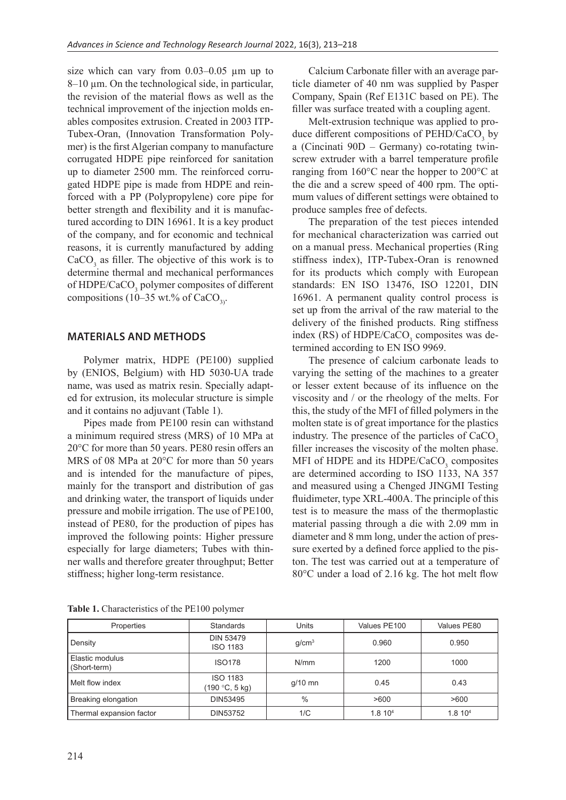size which can vary from  $0.03-0.05$  µm up to 8–10 µm. On the technological side, in particular, the revision of the material flows as well as the technical improvement of the injection molds enables composites extrusion. Created in 2003 ITP-Tubex-Oran, (Innovation Transformation Polymer) is the first Algerian company to manufacture corrugated HDPE pipe reinforced for sanitation up to diameter 2500 mm. The reinforced corrugated HDPE pipe is made from HDPE and reinforced with a PP (Polypropylene) core pipe for better strength and flexibility and it is manufactured according to DIN 16961. It is a key product of the company, and for economic and technical reasons, it is currently manufactured by adding  $CaCO<sub>3</sub>$  as filler. The objective of this work is to determine thermal and mechanical performances of HDPE/CaCO<sub>3</sub> polymer composites of different compositions (10–35 wt.% of CaCO<sub>2</sub>).

# **MATERIALS AND METHODS**

Polymer matrix, HDPE (PE100) supplied by (ENIOS, Belgium) with HD 5030-UA trade name, was used as matrix resin. Specially adapted for extrusion, its molecular structure is simple and it contains no adjuvant (Table 1).

Pipes made from PE100 resin can withstand a minimum required stress (MRS) of 10 MPa at 20°C for more than 50 years. PE80 resin offers an MRS of 08 MPa at 20°C for more than 50 years and is intended for the manufacture of pipes, mainly for the transport and distribution of gas and drinking water, the transport of liquids under pressure and mobile irrigation. The use of PE100, instead of PE80, for the production of pipes has improved the following points: Higher pressure especially for large diameters; Tubes with thinner walls and therefore greater throughput; Better stiffness; higher long-term resistance.

Calcium Carbonate filler with an average particle diameter of 40 nm was supplied by Pasper Company, Spain (Ref E131C based on PE). The filler was surface treated with a coupling agent.

Melt-extrusion technique was applied to produce different compositions of  $PEHD/CaCO<sub>3</sub>$  by a (Cincinati 90D – Germany) co-rotating twinscrew extruder with a barrel temperature profile ranging from 160°C near the hopper to 200°C at the die and a screw speed of 400 rpm. The optimum values of different settings were obtained to produce samples free of defects.

The preparation of the test pieces intended for mechanical characterization was carried out on a manual press. Mechanical properties (Ring stiffness index), ITP-Tubex-Oran is renowned for its products which comply with European standards: EN ISO 13476, ISO 12201, DIN 16961. A permanent quality control process is set up from the arrival of the raw material to the delivery of the finished products. Ring stiffness index (RS) of HDPE/CaCO<sub>3</sub> composites was determined according to EN ISO 9969.

The presence of calcium carbonate leads to varying the setting of the machines to a greater or lesser extent because of its influence on the viscosity and / or the rheology of the melts. For this, the study of the MFI of filled polymers in the molten state is of great importance for the plastics industry. The presence of the particles of CaCO<sub>2</sub> filler increases the viscosity of the molten phase. MFI of HDPE and its  $HDPE/CaCO<sub>3</sub>$  composites are determined according to ISO 1133, NA 357 and measured using a Chenged JINGMI Testing fluidimeter, type XRL-400A. The principle of this test is to measure the mass of the thermoplastic material passing through a die with 2.09 mm in diameter and 8 mm long, under the action of pressure exerted by a defined force applied to the piston. The test was carried out at a temperature of 80°C under a load of 2.16 kg. The hot melt flow

| Properties                      | <b>Standards</b>                    | Units             | Values PE100        | Values PE80         |
|---------------------------------|-------------------------------------|-------------------|---------------------|---------------------|
| Density                         | <b>DIN 53479</b><br><b>ISO 1183</b> | q/cm <sup>3</sup> | 0.960               | 0.950               |
| Elastic modulus<br>(Short-term) | <b>ISO178</b>                       | N/mm              | 1200                | 1000                |
| Melt flow index                 | <b>ISO 1183</b><br>(190 °C, 5 kg)   | $q/10$ mn         | 0.45                | 0.43                |
| Breaking elongation             | DIN53495                            | $\frac{0}{0}$     | >600                | >600                |
| Thermal expansion factor        | DIN53752                            | 1/C               | 1.8 10 <sup>4</sup> | 1.8 10 <sup>4</sup> |

**Table 1.** Characteristics of the PE100 polymer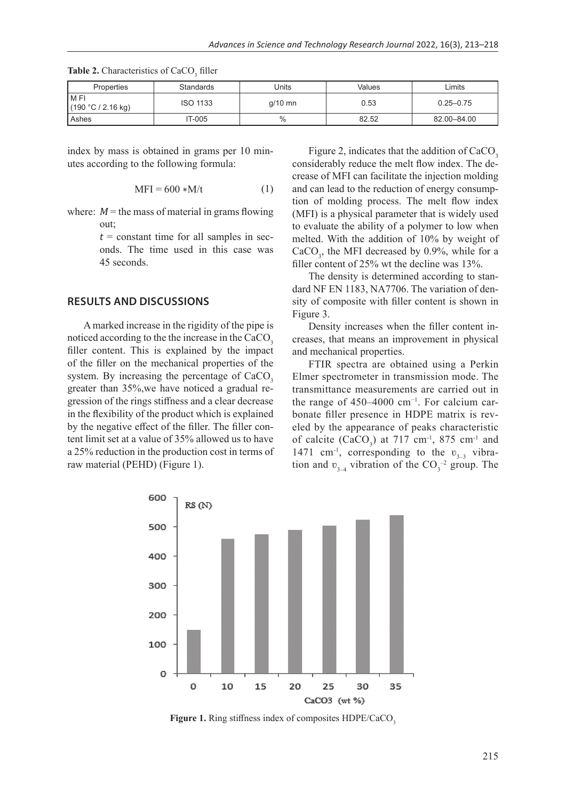| <b>Properties</b>            | <b>Standards</b> | Jnits     | Values | _imits        |
|------------------------------|------------------|-----------|--------|---------------|
| l M FI<br>(190 °C / 2.16 kg) | <b>ISO 1133</b>  | $q/10$ mn | 0.53   | $0.25 - 0.75$ |
| Ashes                        | IT-005           | $\%$      | 82.52  | 82.00-84.00   |

**Table 2.** Characteristics of  $CaCO<sub>3</sub>$  filler

index by mass is obtained in grams per 10 minutes according to the following formula:

$$
MFI = 600 * M/t \tag{1}
$$

where:  $M$  = the mass of material in grams flowing out;

> $t = constant$  time for all samples in seconds. The time used in this case was 45 seconds.

## **RESULTS AND DISCUSSIONS**

A marked increase in the rigidity of the pipe is noticed according to the the increase in the CaCO<sub>3</sub> filler content. This is explained by the impact of the filler on the mechanical properties of the system. By increasing the percentage of CaCO<sub>3</sub> greater than 35%,we have noticed a gradual regression of the rings stiffness and a clear decrease in the flexibility of the product which is explained by the negative effect of the filler. The filler content limit set at a value of 35% allowed us to have a 25% reduction in the production cost in terms of raw material (PEHD) (Figure 1).

Figure 2, indicates that the addition of CaCO<sub>3</sub> considerably reduce the melt flow index. The decrease of MFI can facilitate the injection molding and can lead to the reduction of energy consumption of molding process. The melt flow index (MFI) is a physical parameter that is widely used to evaluate the ability of a polymer to low when melted. With the addition of 10% by weight of  $CaCO<sub>3</sub>$ , the MFI decreased by 0.9%, while for a filler content of 25% wt the decline was 13%.

The density is determined according to standard NF EN 1183, NA7706. The variation of density of composite with filler content is shown in Figure 3.

Density increases when the filler content increases, that means an improvement in physical and mechanical properties.

FTIR spectra are obtained using a Perkin Elmer spectrometer in transmission mode. The transmittance measurements are carried out in the range of 450–4000 cm<sup>-1</sup>. For calcium carbonate filler presence in HDPE matrix is reveled by the appearance of peaks characteristic of calcite  $(CaCO<sub>3</sub>)$  at 717 cm<sup>-1</sup>, 875 cm<sup>-1</sup> and 1471 cm<sup>-1</sup>, corresponding to the  $v_{3,3}$  vibration and  $v_{3-4}$  vibration of the CO<sub>3</sub><sup>-2</sup> group. The



Figure 1. Ring stiffness index of composites HDPE/CaCO<sub>3</sub>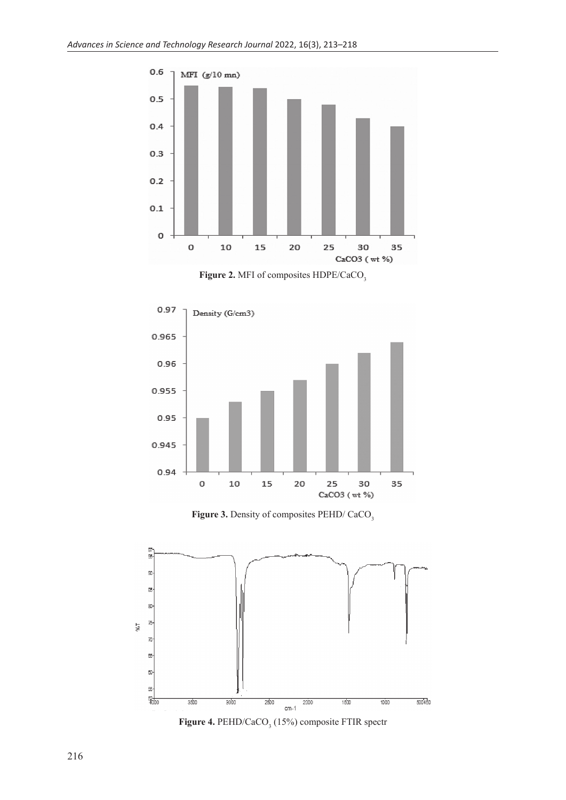

Figure 2. MFI of composites HDPE/CaCO<sub>3</sub>



Figure 3. Density of composites PEHD/ CaCO<sub>3</sub>



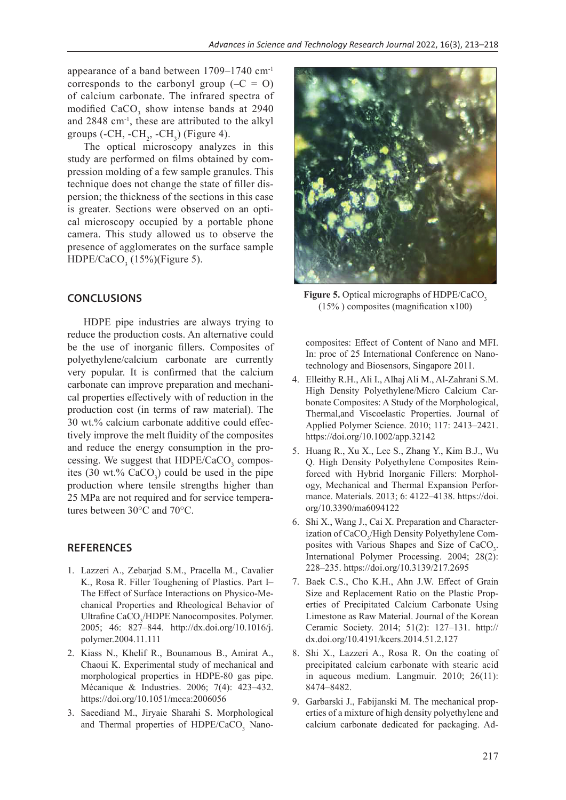appearance of a band between 1709–1740 cm-1 corresponds to the carbonyl group  $(-C = 0)$ of calcium carbonate. The infrared spectra of modified  $CaCO<sub>3</sub>$  show intense bands at 2940 and 2848 cm-1, these are attributed to the alkyl groups (-CH, -CH<sub>2</sub>, -CH<sub>3</sub>) (Figure 4).

The optical microscopy analyzes in this study are performed on films obtained by compression molding of a few sample granules. This technique does not change the state of filler dispersion; the thickness of the sections in this case is greater. Sections were observed on an optical microscopy occupied by a portable phone camera. This study allowed us to observe the presence of agglomerates on the surface sample  $HDPE/CaCO<sub>3</sub>$  (15%)(Figure 5).

## **CONCLUSIONS**

HDPE pipe industries are always trying to reduce the production costs. An alternative could be the use of inorganic fillers. Composites of polyethylene/calcium carbonate are currently very popular. It is confirmed that the calcium carbonate can improve preparation and mechanical properties effectively with of reduction in the production cost (in terms of raw material). The 30 wt.% calcium carbonate additive could effectively improve the melt fluidity of the composites and reduce the energy consumption in the processing. We suggest that  $HDPE/CaCO<sub>3</sub>$  composites  $(30 \text{ wt.}\% \text{ CaCO}_3)$  could be used in the pipe production where tensile strengths higher than 25 MPa are not required and for service temperatures between 30°C and 70°C.

## **REFERENCES**

- 1. Lazzeri A., Zebarjad S.M., Pracella M., Cavalier K., Rosa R. Filler Toughening of Plastics. Part I– The Effect of Surface Interactions on Physico-Mechanical Properties and Rheological Behavior of Ultrafine CaCO<sub>3</sub>/HDPE Nanocomposites. Polymer. 2005; 46: 827–844. http://dx.doi.org/10.1016/j. polymer.2004.11.111
- 2. Kiass N., Khelif R., Bounamous B., Amirat A., Chaoui K. Experimental study of mechanical and morphological properties in HDPE-80 gas pipe. Mécanique & Industries. 2006; 7(4): 423–432. https://doi.org/10.1051/meca:2006056
- 3. Saeediand M., Jiryaie Sharahi S. Morphological and Thermal properties of  $HDPE/CaCO<sub>3</sub>$  Nano-



Figure 5. Optical micrographs of HDPE/CaCO<sub>3</sub>  $(15\%)$  composites (magnification x100)

composites: Effect of Content of Nano and MFI. In: proc of 25 International Conference on Nanotechnology and Biosensors, Singapore 2011.

- 4. Elleithy R.H., Ali I., Alhaj Ali M., Al-Zahrani S.M. High Density Polyethylene/Micro Calcium Carbonate Composites: A Study of the Morphological, Thermal,and Viscoelastic Properties. Journal of Applied Polymer Science. 2010; 117: 2413–2421. https://doi.org/10.1002/app.32142
- 5. Huang R., Xu X., Lee S., Zhang Y., Kim B.J., Wu Q. High Density Polyethylene Composites Reinforced with Hybrid Inorganic Fillers: Morphology, Mechanical and Thermal Expansion Performance. Materials. 2013; 6: 4122–4138. https://doi. org/10.3390/ma6094122
- 6. Shi X., Wang J., Cai X. Preparation and Characterization of CaCO<sub>3</sub>/High Density Polyethylene Composites with Various Shapes and Size of  $CaCO<sub>3</sub>$ . International Polymer Processing. 2004; 28(2): 228–235. https://doi.org/10.3139/217.2695
- 7. Baek C.S., Cho K.H., Ahn J.W. Effect of Grain Size and Replacement Ratio on the Plastic Properties of Precipitated Calcium Carbonate Using Limestone as Raw Material. Journal of the Korean Ceramic Society. 2014; 51(2): 127–131. http:// dx.doi.org/10.4191/kcers.2014.51.2.127
- 8. Shi X., Lazzeri A., Rosa R. On the coating of precipitated calcium carbonate with stearic acid in aqueous medium. Langmuir. 2010; 26(11): 8474–8482.
- 9. Garbarski J., Fabijanski M. The mechanical properties of a mixture of high density polyethylene and calcium carbonate dedicated for packaging. Ad-